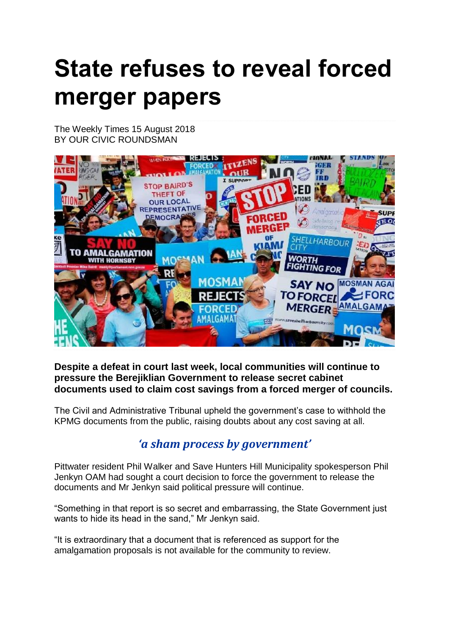## **State refuses to reveal forced merger papers**

The Weekly Times 15 August 2018 BY OUR CIVIC ROUNDSMAN



## **Despite a defeat in court last week, local communities will continue to pressure the Berejiklian Government to release secret cabinet documents used to claim cost savings from a forced merger of councils.**

The Civil and Administrative Tribunal upheld the government's case to withhold the KPMG documents from the public, raising doubts about any cost saving at all.

## *'a sham process by government'*

Pittwater resident Phil Walker and Save Hunters Hill Municipality spokesperson Phil Jenkyn OAM had sought a court decision to force the government to release the documents and Mr Jenkyn said political pressure will continue.

"Something in that report is so secret and embarrassing, the State Government just wants to hide its head in the sand," Mr Jenkyn said.

"It is extraordinary that a document that is referenced as support for the amalgamation proposals is not available for the community to review.